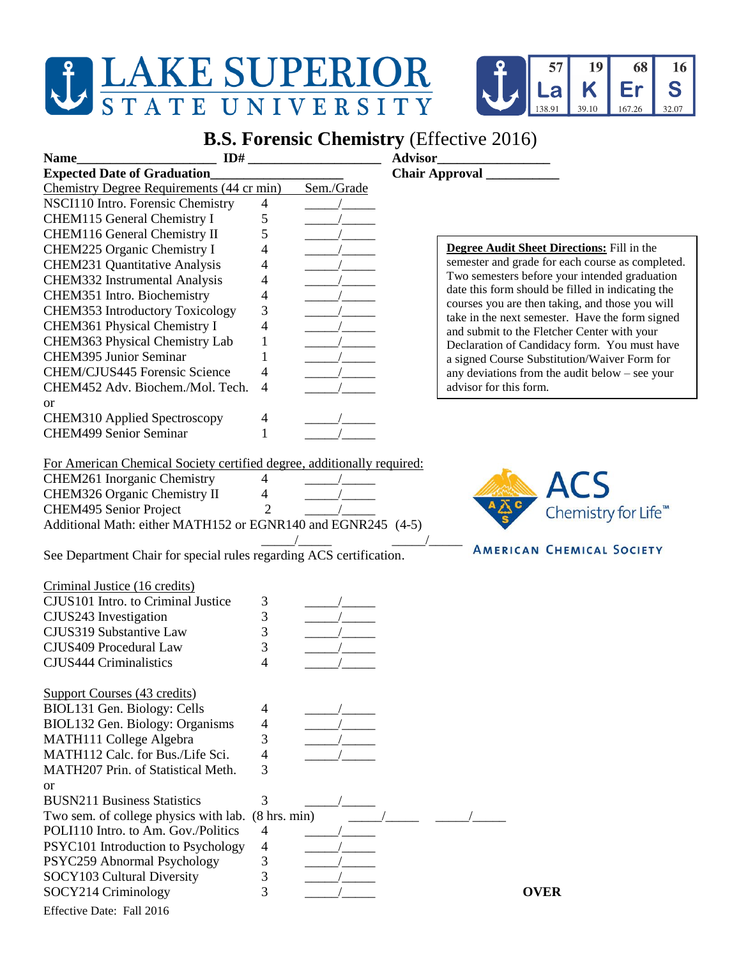## J LAKE SUPERIOR STATE UNIVERSITY



## **B.S. Forensic Chemistry** (Effective 2016)

| ID#<br><b>Name</b>                                                     |                          |                                                                                          | <b>Advisor</b>                                                                                     |
|------------------------------------------------------------------------|--------------------------|------------------------------------------------------------------------------------------|----------------------------------------------------------------------------------------------------|
| <b>Expected Date of Graduation</b>                                     |                          |                                                                                          |                                                                                                    |
| Chemistry Degree Requirements (44 cr min)                              |                          | Sem./Grade                                                                               |                                                                                                    |
| NSCI110 Intro. Forensic Chemistry                                      | $\overline{4}$           |                                                                                          |                                                                                                    |
| CHEM115 General Chemistry I                                            | 5                        |                                                                                          |                                                                                                    |
| CHEM116 General Chemistry II                                           | 5                        |                                                                                          |                                                                                                    |
| CHEM225 Organic Chemistry I                                            | 4                        |                                                                                          | <b>Degree Audit Sheet Directions:</b> Fill in the                                                  |
| <b>CHEM231 Quantitative Analysis</b>                                   | 4                        |                                                                                          | semester and grade for each course as completed.                                                   |
| CHEM332 Instrumental Analysis                                          | 4                        |                                                                                          | Two semesters before your intended graduation                                                      |
| CHEM351 Intro. Biochemistry                                            | $\overline{\mathcal{L}}$ |                                                                                          | date this form should be filled in indicating the                                                  |
| CHEM353 Introductory Toxicology                                        | 3                        |                                                                                          | courses you are then taking, and those you will<br>take in the next semester. Have the form signed |
| CHEM361 Physical Chemistry I                                           | 4                        |                                                                                          | and submit to the Fletcher Center with your                                                        |
| CHEM363 Physical Chemistry Lab                                         | $\mathbf{1}$             |                                                                                          | Declaration of Candidacy form. You must have                                                       |
| <b>CHEM395 Junior Seminar</b>                                          | 1                        |                                                                                          | a signed Course Substitution/Waiver Form for                                                       |
| CHEM/CJUS445 Forensic Science                                          | 4                        |                                                                                          | any deviations from the audit below $-$ see your                                                   |
| CHEM452 Adv. Biochem./Mol. Tech.                                       | 4                        |                                                                                          | advisor for this form.                                                                             |
| <b>or</b>                                                              |                          |                                                                                          |                                                                                                    |
| CHEM310 Applied Spectroscopy                                           | 4                        |                                                                                          |                                                                                                    |
| <b>CHEM499 Senior Seminar</b>                                          | 1                        |                                                                                          |                                                                                                    |
|                                                                        |                          |                                                                                          |                                                                                                    |
| For American Chemical Society certified degree, additionally required: |                          |                                                                                          |                                                                                                    |
| CHEM261 Inorganic Chemistry                                            | $\overline{4}$           |                                                                                          |                                                                                                    |
| CHEM326 Organic Chemistry II                                           | $\overline{4}$           |                                                                                          | ACS                                                                                                |
| CHEM495 Senior Project                                                 | $\overline{2}$           |                                                                                          | Chemistry for Life <sup>™</sup>                                                                    |
| Additional Math: either MATH152 or EGNR140 and EGNR245 (4-5)           |                          |                                                                                          |                                                                                                    |
|                                                                        |                          |                                                                                          | <b>AMERICAN CHEMICAL SOCIETY</b>                                                                   |
| See Department Chair for special rules regarding ACS certification.    |                          |                                                                                          |                                                                                                    |
|                                                                        |                          |                                                                                          |                                                                                                    |
| Criminal Justice (16 credits)                                          |                          |                                                                                          |                                                                                                    |
| CJUS101 Intro. to Criminal Justice                                     | 3                        |                                                                                          |                                                                                                    |
| CJUS243 Investigation                                                  | 3                        |                                                                                          |                                                                                                    |
| CJUS319 Substantive Law                                                | 3                        | $\frac{1}{\sqrt{1-\frac{1}{2}}\sqrt{1-\frac{1}{2}}\left(\frac{1}{2}-\frac{1}{2}\right)}$ |                                                                                                    |
| CJUS409 Procedural Law                                                 | 3                        |                                                                                          |                                                                                                    |
| <b>CJUS444 Criminalistics</b>                                          | $\overline{4}$           |                                                                                          |                                                                                                    |
|                                                                        |                          |                                                                                          |                                                                                                    |
| <b>Support Courses (43 credits)</b>                                    |                          |                                                                                          |                                                                                                    |
| BIOL131 Gen. Biology: Cells                                            | 4                        |                                                                                          |                                                                                                    |
| BIOL132 Gen. Biology: Organisms                                        | 4                        |                                                                                          |                                                                                                    |
| MATH111 College Algebra                                                | 3                        |                                                                                          |                                                                                                    |
| MATH112 Calc. for Bus./Life Sci.                                       | 4                        |                                                                                          |                                                                                                    |
| MATH207 Prin. of Statistical Meth.                                     | 3                        |                                                                                          |                                                                                                    |
| <b>or</b>                                                              |                          |                                                                                          |                                                                                                    |
| <b>BUSN211 Business Statistics</b>                                     | 3                        |                                                                                          |                                                                                                    |
| Two sem. of college physics with lab. (8 hrs. min)                     |                          |                                                                                          |                                                                                                    |
| POLI110 Intro. to Am. Gov./Politics                                    | $\overline{4}$           |                                                                                          |                                                                                                    |
| PSYC101 Introduction to Psychology                                     | 4                        |                                                                                          |                                                                                                    |
| PSYC259 Abnormal Psychology                                            | 3                        |                                                                                          |                                                                                                    |
| SOCY103 Cultural Diversity                                             | 3                        |                                                                                          |                                                                                                    |
| SOCY214 Criminology                                                    | 3                        |                                                                                          | <b>OVER</b>                                                                                        |
| Effective Date: Fall 2016                                              |                          |                                                                                          |                                                                                                    |
|                                                                        |                          |                                                                                          |                                                                                                    |